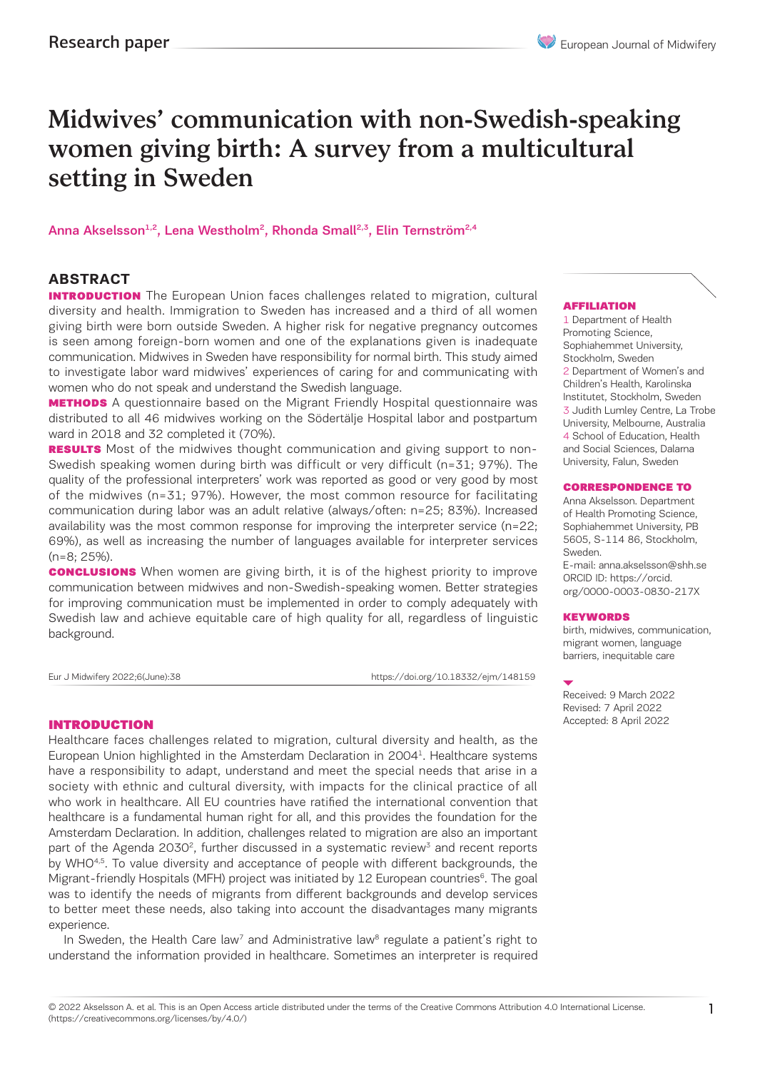# Midwives' communication with non-Swedish-speaking women giving birth: A survey from a multicultural setting in Sweden

Anna Akselsson<sup>1,2</sup>, Lena Westholm<sup>2</sup>, Rhonda Small<sup>2,3</sup>, Elin Ternström<sup>2,4</sup>

### **ABSTRACT**

**INTRODUCTION** The European Union faces challenges related to migration, cultural diversity and health. Immigration to Sweden has increased and a third of all women giving birth were born outside Sweden. A higher risk for negative pregnancy outcomes is seen among foreign-born women and one of the explanations given is inadequate communication. Midwives in Sweden have responsibility for normal birth. This study aimed to investigate labor ward midwives' experiences of caring for and communicating with women who do not speak and understand the Swedish language.

**METHODS** A questionnaire based on the Migrant Friendly Hospital questionnaire was distributed to all 46 midwives working on the Södertälje Hospital labor and postpartum ward in 2018 and 32 completed it (70%).

**RESULTS** Most of the midwives thought communication and giving support to non-Swedish speaking women during birth was difficult or very difficult (n=31; 97%). The quality of the professional interpreters' work was reported as good or very good by most of the midwives (n=31; 97%). However, the most common resource for facilitating communication during labor was an adult relative (always/often: n=25; 83%). Increased availability was the most common response for improving the interpreter service (n=22; 69%), as well as increasing the number of languages available for interpreter services  $(n=8:25\%)$ .

**CONCLUSIONS** When women are giving birth, it is of the highest priority to improve communication between midwives and non-Swedish-speaking women. Better strategies for improving communication must be implemented in order to comply adequately with Swedish law and achieve equitable care of high quality for all, regardless of linguistic background.

Eur J Midwifery 2022;6(June):38 https://doi.org/10.18332/ejm/148159

### INTRODUCTION

Healthcare faces challenges related to migration, cultural diversity and health, as the European Union highlighted in the Amsterdam Declaration in 20041. Healthcare systems have a responsibility to adapt, understand and meet the special needs that arise in a society with ethnic and cultural diversity, with impacts for the clinical practice of all who work in healthcare. All EU countries have ratified the international convention that healthcare is a fundamental human right for all, and this provides the foundation for the Amsterdam Declaration. In addition, challenges related to migration are also an important part of the Agenda 2030<sup>2</sup>, further discussed in a systematic review<sup>3</sup> and recent reports by WHO<sup>4,5</sup>. To value diversity and acceptance of people with different backgrounds, the Migrant-friendly Hospitals (MFH) project was initiated by 12 European countries<sup>6</sup>. The goal was to identify the needs of migrants from different backgrounds and develop services to better meet these needs, also taking into account the disadvantages many migrants experience.

In Sweden, the Health Care law<sup>7</sup> and Administrative law<sup>8</sup> regulate a patient's right to understand the information provided in healthcare. Sometimes an interpreter is required

### AFFILIATION

1 Department of Health Promoting Science, Sophiahemmet University, Stockholm, Sweden 2 Department of Women's and Children's Health, Karolinska Institutet, Stockholm, Sweden 3 Judith Lumley Centre, La Trobe University, Melbourne, Australia 4 School of Education, Health and Social Sciences, Dalarna University, Falun, Sweden

#### CORRESPONDENCE TO

Anna Akselsson. Department of Health Promoting Science, Sophiahemmet University, PB 5605, S-114 86, Stockholm, Sweden. E-mail: anna.akselsson@shh.se ORCID ID: https://orcid. org/0000-0003-0830-217X

#### **KEYWORDS**

birth, midwives, communication, migrant women, language barriers, inequitable care

Received: 9 March 2022 Revised: 7 April 2022 Accepted: 8 April 2022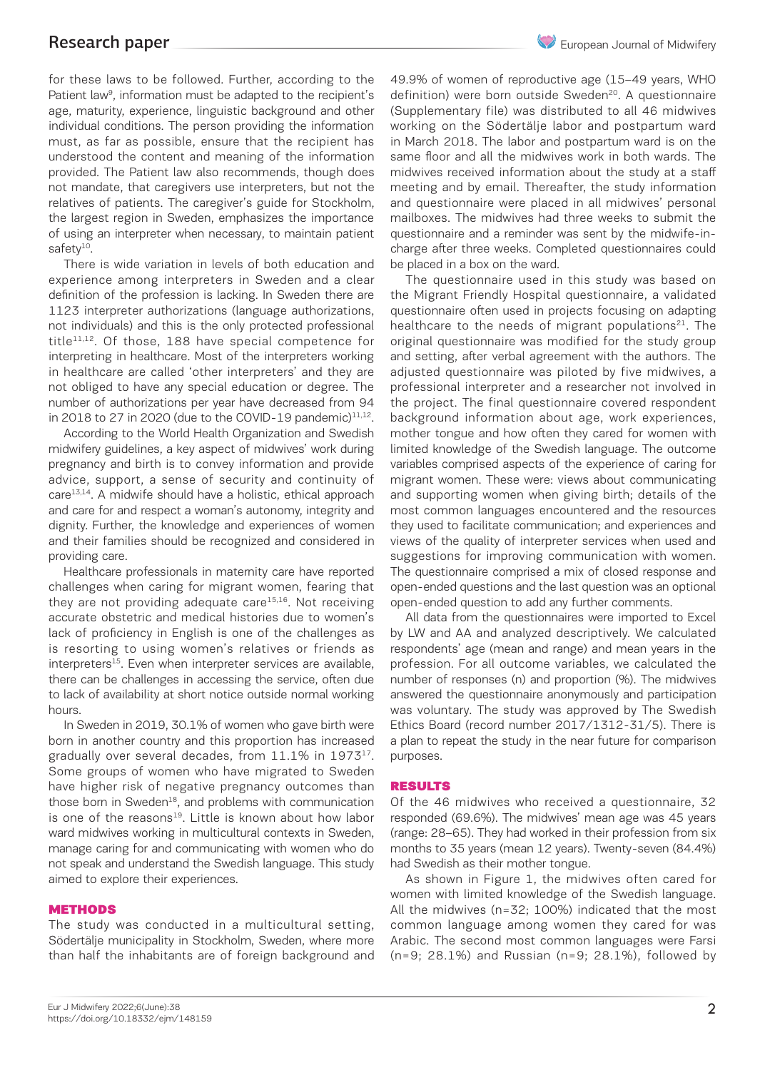for these laws to be followed. Further, according to the Patient law<sup>9</sup>, information must be adapted to the recipient's age, maturity, experience, linguistic background and other individual conditions. The person providing the information must, as far as possible, ensure that the recipient has understood the content and meaning of the information provided. The Patient law also recommends, though does not mandate, that caregivers use interpreters, but not the relatives of patients. The caregiver's guide for Stockholm, the largest region in Sweden, emphasizes the importance of using an interpreter when necessary, to maintain patient safety<sup>10</sup>.

There is wide variation in levels of both education and experience among interpreters in Sweden and a clear definition of the profession is lacking. In Sweden there are 1123 interpreter authorizations (language authorizations, not individuals) and this is the only protected professional title $11,12$ . Of those, 188 have special competence for interpreting in healthcare. Most of the interpreters working in healthcare are called 'other interpreters' and they are not obliged to have any special education or degree. The number of authorizations per year have decreased from 94 in 2018 to 27 in 2020 (due to the COVID-19 pandemic) $11,12$ .

According to the World Health Organization and Swedish midwifery guidelines, a key aspect of midwives' work during pregnancy and birth is to convey information and provide advice, support, a sense of security and continuity of  $care<sup>13,14</sup>$ . A midwife should have a holistic, ethical approach and care for and respect a woman's autonomy, integrity and dignity. Further, the knowledge and experiences of women and their families should be recognized and considered in providing care.

Healthcare professionals in maternity care have reported challenges when caring for migrant women, fearing that they are not providing adequate care $15,16$ . Not receiving accurate obstetric and medical histories due to women's lack of proficiency in English is one of the challenges as is resorting to using women's relatives or friends as  $interpreters<sup>15</sup>$ . Even when interpreter services are available, there can be challenges in accessing the service, often due to lack of availability at short notice outside normal working hours.

In Sweden in 2019, 30.1% of women who gave birth were born in another country and this proportion has increased gradually over several decades, from 11.1% in 1973<sup>17</sup>. Some groups of women who have migrated to Sweden have higher risk of negative pregnancy outcomes than those born in Sweden $^{18}$ , and problems with communication is one of the reasons<sup>19</sup>. Little is known about how labor ward midwives working in multicultural contexts in Sweden, manage caring for and communicating with women who do not speak and understand the Swedish language. This study aimed to explore their experiences.

### METHODS

The study was conducted in a multicultural setting, Södertälje municipality in Stockholm, Sweden, where more than half the inhabitants are of foreign background and 49.9% of women of reproductive age (15–49 years, WHO definition) were born outside Sweden<sup>20</sup>. A questionnaire (Supplementary file) was distributed to all 46 midwives working on the Södertälje labor and postpartum ward in March 2018. The labor and postpartum ward is on the same floor and all the midwives work in both wards. The midwives received information about the study at a staff meeting and by email. Thereafter, the study information and questionnaire were placed in all midwives' personal mailboxes. The midwives had three weeks to submit the questionnaire and a reminder was sent by the midwife-incharge after three weeks. Completed questionnaires could be placed in a box on the ward.

The questionnaire used in this study was based on the Migrant Friendly Hospital questionnaire, a validated questionnaire often used in projects focusing on adapting healthcare to the needs of migrant populations<sup>21</sup>. The original questionnaire was modified for the study group and setting, after verbal agreement with the authors. The adjusted questionnaire was piloted by five midwives, a professional interpreter and a researcher not involved in the project. The final questionnaire covered respondent background information about age, work experiences, mother tongue and how often they cared for women with limited knowledge of the Swedish language. The outcome variables comprised aspects of the experience of caring for migrant women. These were: views about communicating and supporting women when giving birth; details of the most common languages encountered and the resources they used to facilitate communication; and experiences and views of the quality of interpreter services when used and suggestions for improving communication with women. The questionnaire comprised a mix of closed response and open-ended questions and the last question was an optional open-ended question to add any further comments.

All data from the questionnaires were imported to Excel by LW and AA and analyzed descriptively. We calculated respondents' age (mean and range) and mean years in the profession. For all outcome variables, we calculated the number of responses (n) and proportion (%). The midwives answered the questionnaire anonymously and participation was voluntary. The study was approved by The Swedish Ethics Board (record number 2017/1312-31/5). There is a plan to repeat the study in the near future for comparison purposes.

### RESULTS

Of the 46 midwives who received a questionnaire, 32 responded (69.6%). The midwives' mean age was 45 years (range: 28–65). They had worked in their profession from six months to 35 years (mean 12 years). Twenty-seven (84.4%) had Swedish as their mother tongue.

As shown in Figure 1, the midwives often cared for women with limited knowledge of the Swedish language. All the midwives (n=32; 100%) indicated that the most common language among women they cared for was Arabic. The second most common languages were Farsi (n=9; 28.1%) and Russian (n=9; 28.1%), followed by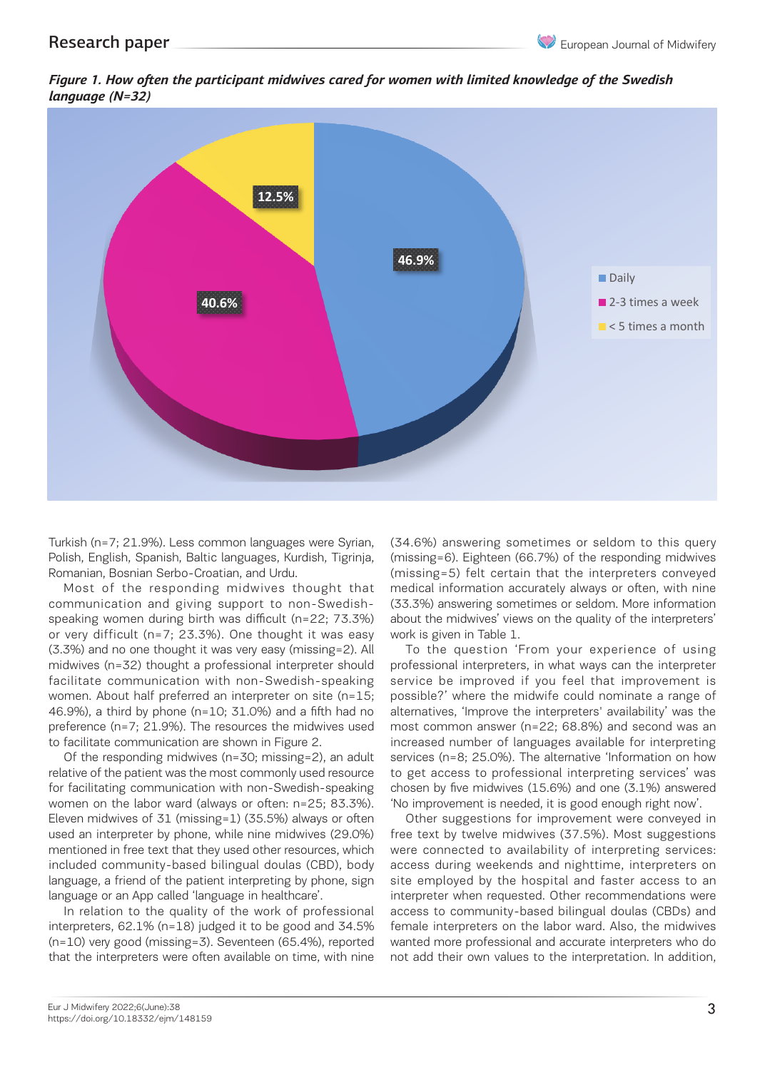*Figure 1. How often the participant midwives cared for women with limited knowledge of the Swedish language (N=32)*



Turkish (n=7; 21.9%). Less common languages were Syrian, Polish, English, Spanish, Baltic languages, Kurdish, Tigrinja, Romanian, Bosnian Serbo-Croatian, and Urdu.

communication and giving support to non-Swedishspeaking women during birth was difficult (n=22; 73.3%) or very difficult (n=7; 23.3%). One thought it was easy de very annoate (if 7, 20.0%). One thought it was easy work is given in raste 1.<br>(3.3%) and no one thought it was very easy (missing=2). All To the question 'From your experience of usir midwives (n=32) thought a professional interpreter should matures (1-52) chought a protessional interpreter should protessional interpreters, in what ways can the interpretent facilitate communication with non-Swedish-speaking service be improved if you feel that improvement women. About half preferred an interpreter on site (n=15; world. About half preferred an interpreter on site  $(n-15)$ , 46.9%), a third by phone (n=10; 31.0%) and a fifth had no preference (n=7; 21.9%). The resources the midwives used to facilitate communication are shown in Figure 2.

Of the responding midwives (n=30; missing=2), an adult or the responding midwives (n=50; missing=2), an addit services (n=6; 25.0%). The atternative imformative<br>relative of the patient was the most commonly used resource to get access to professional interpreting service for facilitating communication with non-Swedish-speaking ror racilitating communication with non-Swedish-speaking crosen by five midwives (15.6%) and one (3.1%) answ<br>women on the labor ward (always or often: n=25; 83.3%). 'No improvement is needed, it is good enough right nov Eleven midwives of 31 (missing=1) (35.5%) always or often Other suggestions for improvement were conveyed to the professional interpreter by phone while pine midwives (20.0%). Free to the hydrogeness is also also also also used an interpreter by phone, while nine midwives (29.0%) mentioned in free text that they used other resources, which were connected to availability of interpreting service<br>Speaked accompanity has all bilingual dayles (CPD), hady access during used and airly bities, interpretate included community-based bilingual doulas (CBD), body language, a friend of the patient interpreting by phone, sign site employed by the hospital and faster access to<br>In presence (n=7; 20) and the mission is bedde midwires the midwires the midwidwidwidwidwidwidwidwidwidwidwid language or an App called 'language in healthcare'.

In relation to the quality of the work of professional access interpreters, 62.1% (n=18) judged it to be good and 34.5% (n=10) very good (missing=3). Seventeen (65.4%), reported that the interpreters were often available on time, with nine

Most of the responding midwives thought that medical information accurately always or often, with nine<br>Most of the responding midwives thought that medical information accurately always or often, with nine (34.6%) answering sometimes or seldom to this query english, Spanish, Baltic languages, Kurdish, Tigrinja, (missing=6). Eighteen (66.7%) of the responding midwives (missing=5) felt certain that the interpreters conveyed medical information accurately always or often, with nine (33.3%) answering sometimes or seldom. More information speaking women during birth was difficult (n=22; 73.3%) about the midwives' views on the quality of the interpreters' work is given in Table 1.

To the question 'From your experience of using professional interpreters, in what ways can the interpreter service be improved if you feel that improvement is possible?' where the midwife could nominate a range of alternatives, 'Improve the interpreters' availability' was the most common answer (n=22; 68.8%) and second was an ince (ii-7; 21.9%). The resources the rindwives used Thiost communitatiswer (ii-22; 00.0%) and second was an<br>Itate communication are shown in Figure 2. The increased number of languages available for interpreting services (n=8; 25.0%). The alternative 'Information on how to get access to professional interpreting services' was chosen by five midwives (15.6%) and one (3.1%) answered 'No improvement is needed, it is good enough right now'.

> Other suggestions for improvement were conveyed in free text by twelve midwives (37.5%). Most suggestions were connected to availability of interpreting services: access during weekends and nighttime, interpreters on site employed by the hospital and faster access to an interpreter when requested. Other recommendations were access to community-based bilingual doulas (CBDs) and female interpreters on the labor ward. Also, the midwives wanted more professional and accurate interpreters who do not add their own values to the interpretation. In addition,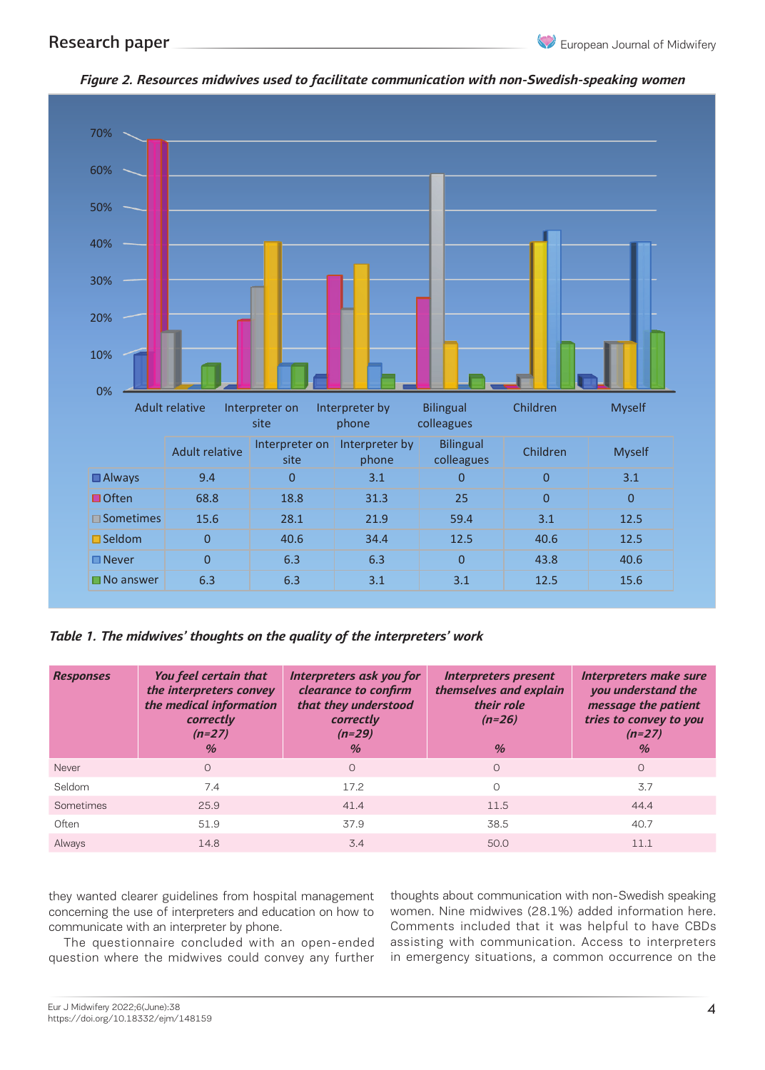

*Figure 2. Resources midwives used to facilitate communication with non-Swedish-speaking women*

*Table 1. The midwives' thoughts on the quality of the interpreters' work*

| <b>Responses</b> | You feel certain that<br>the interpreters convey<br>the medical information<br>correctly<br>$(n=27)$<br>$\%$ | Interpreters ask you for<br>clearance to confirm<br>that they understood<br>correctly<br>$(n=29)$<br>$\frac{0}{0}$ | <b>Interpreters present</b><br>themselves and explain<br>their role<br>$(n=26)$<br>$\frac{1}{2}$ | Interpreters make sure<br>you understand the<br>message the patient<br>tries to convey to you<br>$(n=27)$<br>$\%$ |
|------------------|--------------------------------------------------------------------------------------------------------------|--------------------------------------------------------------------------------------------------------------------|--------------------------------------------------------------------------------------------------|-------------------------------------------------------------------------------------------------------------------|
| Never            | $\Omega$                                                                                                     | $\Omega$                                                                                                           | $\Omega$                                                                                         | $\circ$                                                                                                           |
| Seldom           | 7.4                                                                                                          | 17.2                                                                                                               | O                                                                                                | 3.7                                                                                                               |
| Sometimes        | 25.9                                                                                                         | 41.4                                                                                                               | 11.5                                                                                             | 44.4                                                                                                              |
| Often            | 51.9                                                                                                         | 37.9                                                                                                               | 38.5                                                                                             | 40.7                                                                                                              |
| Always           | 14.8                                                                                                         | 3.4                                                                                                                | 50.0                                                                                             | 11.1                                                                                                              |

they wanted clearer guidelines from hospital management concerning the use of interpreters and education on how to communicate with an interpreter by phone.

The questionnaire concluded with an open-ended question where the midwives could convey any further thoughts about communication with non-Swedish speaking women. Nine midwives (28.1%) added information here. Comments included that it was helpful to have CBDs assisting with communication. Access to interpreters in emergency situations, a common occurrence on the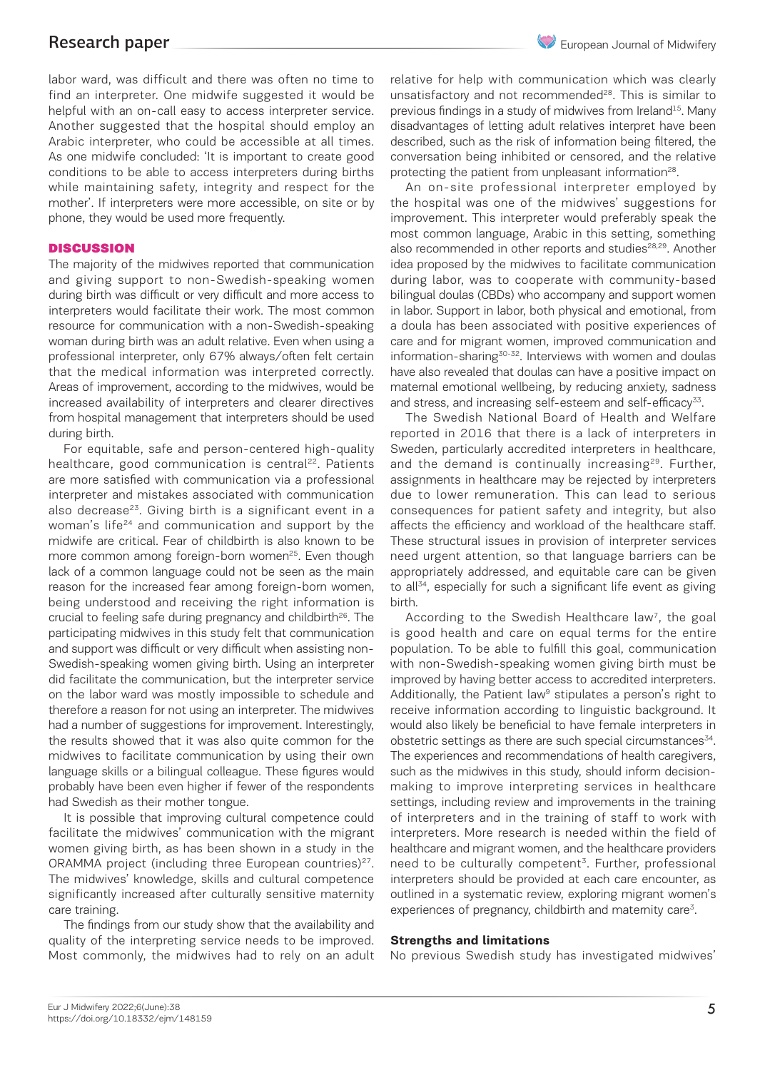labor ward, was difficult and there was often no time to find an interpreter. One midwife suggested it would be helpful with an on-call easy to access interpreter service. Another suggested that the hospital should employ an Arabic interpreter, who could be accessible at all times. As one midwife concluded: 'It is important to create good conditions to be able to access interpreters during births while maintaining safety, integrity and respect for the mother'. If interpreters were more accessible, on site or by phone, they would be used more frequently.

### **DISCUSSION**

The majority of the midwives reported that communication and giving support to non-Swedish-speaking women during birth was difficult or very difficult and more access to interpreters would facilitate their work. The most common resource for communication with a non-Swedish-speaking woman during birth was an adult relative. Even when using a professional interpreter, only 67% always/often felt certain that the medical information was interpreted correctly. Areas of improvement, according to the midwives, would be increased availability of interpreters and clearer directives from hospital management that interpreters should be used during birth.

For equitable, safe and person-centered high-quality healthcare, good communication is central<sup>22</sup>. Patients are more satisfied with communication via a professional interpreter and mistakes associated with communication also decrease<sup>23</sup>. Giving birth is a significant event in a woman's life<sup>24</sup> and communication and support by the midwife are critical. Fear of childbirth is also known to be more common among foreign-born women<sup>25</sup>. Even though lack of a common language could not be seen as the main reason for the increased fear among foreign-born women, being understood and receiving the right information is crucial to feeling safe during pregnancy and childbirth<sup>26</sup>. The participating midwives in this study felt that communication and support was difficult or very difficult when assisting non-Swedish-speaking women giving birth. Using an interpreter did facilitate the communication, but the interpreter service on the labor ward was mostly impossible to schedule and therefore a reason for not using an interpreter. The midwives had a number of suggestions for improvement. Interestingly, the results showed that it was also quite common for the midwives to facilitate communication by using their own language skills or a bilingual colleague. These figures would probably have been even higher if fewer of the respondents had Swedish as their mother tongue.

It is possible that improving cultural competence could facilitate the midwives' communication with the migrant women giving birth, as has been shown in a study in the ORAMMA project (including three European countries)<sup>27</sup>. The midwives' knowledge, skills and cultural competence significantly increased after culturally sensitive maternity care training.

The findings from our study show that the availability and quality of the interpreting service needs to be improved. Most commonly, the midwives had to rely on an adult relative for help with communication which was clearly unsatisfactory and not recommended<sup>28</sup>. This is similar to previous findings in a study of midwives from Ireland<sup>15</sup>. Many disadvantages of letting adult relatives interpret have been described, such as the risk of information being filtered, the conversation being inhibited or censored, and the relative protecting the patient from unpleasant information<sup>28</sup>.

An on-site professional interpreter employed by the hospital was one of the midwives' suggestions for improvement. This interpreter would preferably speak the most common language, Arabic in this setting, something also recommended in other reports and studies<sup>28,29</sup>. Another idea proposed by the midwives to facilitate communication during labor, was to cooperate with community-based bilingual doulas (CBDs) who accompany and support women in labor. Support in labor, both physical and emotional, from a doula has been associated with positive experiences of care and for migrant women, improved communication and information-sharing<sup>30-32</sup>. Interviews with women and doulas have also revealed that doulas can have a positive impact on maternal emotional wellbeing, by reducing anxiety, sadness and stress, and increasing self-esteem and self-efficacy<sup>33</sup>.

The Swedish National Board of Health and Welfare reported in 2016 that there is a lack of interpreters in Sweden, particularly accredited interpreters in healthcare, and the demand is continually increasing<sup>29</sup>. Further, assignments in healthcare may be rejected by interpreters due to lower remuneration. This can lead to serious consequences for patient safety and integrity, but also affects the efficiency and workload of the healthcare staff. These structural issues in provision of interpreter services need urgent attention, so that language barriers can be appropriately addressed, and equitable care can be given to all $34$ , especially for such a significant life event as giving birth.

According to the Swedish Healthcare law<sup>7</sup>, the goal is good health and care on equal terms for the entire population. To be able to fulfill this goal, communication with non-Swedish-speaking women giving birth must be improved by having better access to accredited interpreters. Additionally, the Patient law<sup>9</sup> stipulates a person's right to receive information according to linguistic background. It would also likely be beneficial to have female interpreters in obstetric settings as there are such special circumstances $34$ . The experiences and recommendations of health caregivers, such as the midwives in this study, should inform decisionmaking to improve interpreting services in healthcare settings, including review and improvements in the training of interpreters and in the training of staff to work with interpreters. More research is needed within the field of healthcare and migrant women, and the healthcare providers need to be culturally competent<sup>3</sup>. Further, professional interpreters should be provided at each care encounter, as outlined in a systematic review, exploring migrant women's experiences of pregnancy, childbirth and maternity care<sup>3</sup>.

### **Strengths and limitations**

No previous Swedish study has investigated midwives'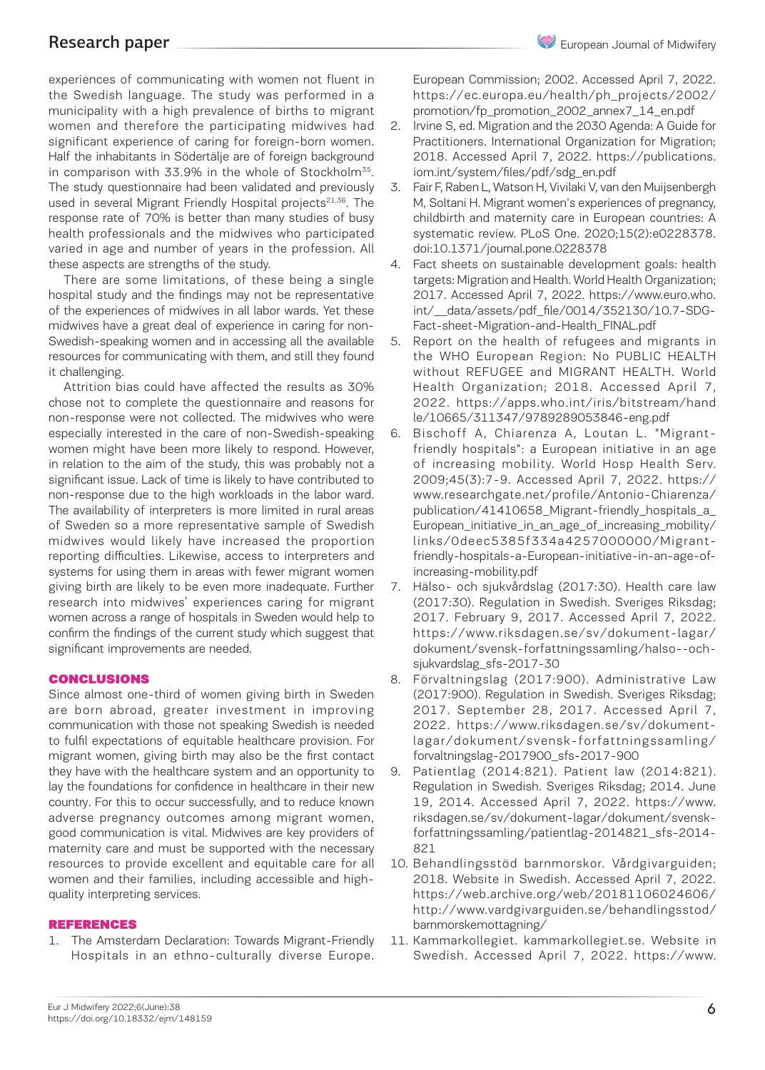experiences of communicating with women not fluent in the Swedish language. The study was performed in a municipality with a high prevalence of births to migrant women and therefore the participating midwives had significant experience of caring for foreign-born women. Half the inhabitants in Södertälje are of foreign background in comparison with 33.9% in the whole of Stockholm $35$ . The study questionnaire had been validated and previously used in several Migrant Friendly Hospital projects $21,36$ . The response rate of 70% is better than many studies of busy health professionals and the midwives who participated varied in age and number of years in the profession. All these aspects are strengths of the study.

There are some limitations, of these being a single hospital study and the findings may not be representative of the experiences of midwives in all labor wards. Yet these midwives have a great deal of experience in caring for non-Swedish-speaking women and in accessing all the available resources for communicating with them, and still they found it challenging.

Attrition bias could have affected the results as 30% chose not to complete the questionnaire and reasons for non-response were not collected. The midwives who were especially interested in the care of non-Swedish-speaking women might have been more likely to respond. However, in relation to the aim of the study, this was probably not a significant issue. Lack of time is likely to have contributed to non-response due to the high workloads in the labor ward. The availability of interpreters is more limited in rural areas of Sweden so a more representative sample of Swedish midwives would likely have increased the proportion reporting difficulties. Likewise, access to interpreters and systems for using them in areas with fewer migrant women giving birth are likely to be even more inadequate. Further research into midwives' experiences caring for migrant women across a range of hospitals in Sweden would help to confirm the findings of the current study which suggest that significant improvements are needed.

### CONCLUSIONS

Since almost one-third of women giving birth in Sweden are born abroad, greater investment in improving communication with those not speaking Swedish is needed to fulfil expectations of equitable healthcare provision. For migrant women, giving birth may also be the first contact they have with the healthcare system and an opportunity to lay the foundations for confidence in healthcare in their new country. For this to occur successfully, and to reduce known adverse pregnancy outcomes among migrant women, good communication is vital. Midwives are key providers of maternity care and must be supported with the necessary resources to provide excellent and equitable care for all women and their families, including accessible and highquality interpreting services.

### REFERENCES

1. The Amsterdam Declaration: Towards Migrant-Friendly Hospitals in an ethno-culturally diverse Europe. European Commission; 2002. Accessed April 7, 2022. https://ec.europa.eu/health/ph\_projects/2002/ promotion/fp\_promotion\_2002\_annex7\_14\_en.pdf

- 2. Irvine S, ed. Migration and the 2030 Agenda: A Guide for Practitioners. International Organization for Migration; 2018. Accessed April 7, 2022. https://publications. iom.int/system/files/pdf/sdg\_en.pdf
- 3. Fair F, Raben L, Watson H, Vivilaki V, van den Muijsenbergh M, Soltani H. Migrant women's experiences of pregnancy, childbirth and maternity care in European countries: A systematic review. PLoS One. 2020;15(2):e0228378. doi:10.1371/journal.pone.0228378
- 4. Fact sheets on sustainable development goals: health targets: Migration and Health. World Health Organization; 2017. Accessed April 7, 2022. https://www.euro.who. int/\_\_data/assets/pdf\_file/0014/352130/10.7-SDG-Fact-sheet-Migration-and-Health\_FINAL.pdf
- 5. Report on the health of refugees and migrants in the WHO European Region: No PUBLIC HEALTH without REFUGEE and MIGRANT HEALTH. World Health Organization; 2018. Accessed April 7, 2022. https://apps.who.int/iris/bitstream/hand le/10665/311347/9789289053846-eng.pdf
- 6. Bischoff A, Chiarenza A, Loutan L. "Migrantfriendly hospitals": a European initiative in an age of increasing mobility. World Hosp Health Serv. 2009;45(3):7-9. Accessed April 7, 2022. https:// www.researchgate.net/profile/Antonio-Chiarenza/ publication/41410658 Migrant-friendly hospitals a European\_initiative\_in\_an\_age\_of\_increasing\_mobility/ links/0deec5385f334a4257000000/Migrantfriendly-hospitals-a-European-initiative-in-an-age-ofincreasing-mobility.pdf
- 7. Hälso- och sjukvårdslag (2017:30). Health care law (2017:30). Regulation in Swedish. Sveriges Riksdag; 2017. February 9, 2017. Accessed April 7, 2022. https://www.riksdagen.se/sv/dokument-lagar/ dokument/svensk-forfattningssamling/halso--ochsjukvardslag\_sfs-2017-30
- 8. Förvaltningslag (2017:900). Administrative Law (2017:900). Regulation in Swedish. Sveriges Riksdag; 2017. September 28, 2017. Accessed April 7, 2022. https://www.riksdagen.se/sv/dokumentlagar/dokument/svensk-forfattningssamling/ forvaltningslag-2017900\_sfs-2017-900
- 9. Patientlag (2014:821). Patient law (2014:821). Regulation in Swedish. Sveriges Riksdag; 2014. June 19, 2014. Accessed April 7, 2022. https://www. riksdagen.se/sv/dokument-lagar/dokument/svenskforfattningssamling/patientlag-2014821\_sfs-2014- 821
- 10. Behandlingsstöd barnmorskor. Vårdgivarguiden; 2018. Website in Swedish. Accessed April 7, 2022. https://web.archive.org/web/20181106024606/ http://www.vardgivarguiden.se/behandlingsstod/ barnmorskemottagning/
- 11. Kammarkollegiet. kammarkollegiet.se. Website in Swedish. Accessed April 7, 2022. https://www.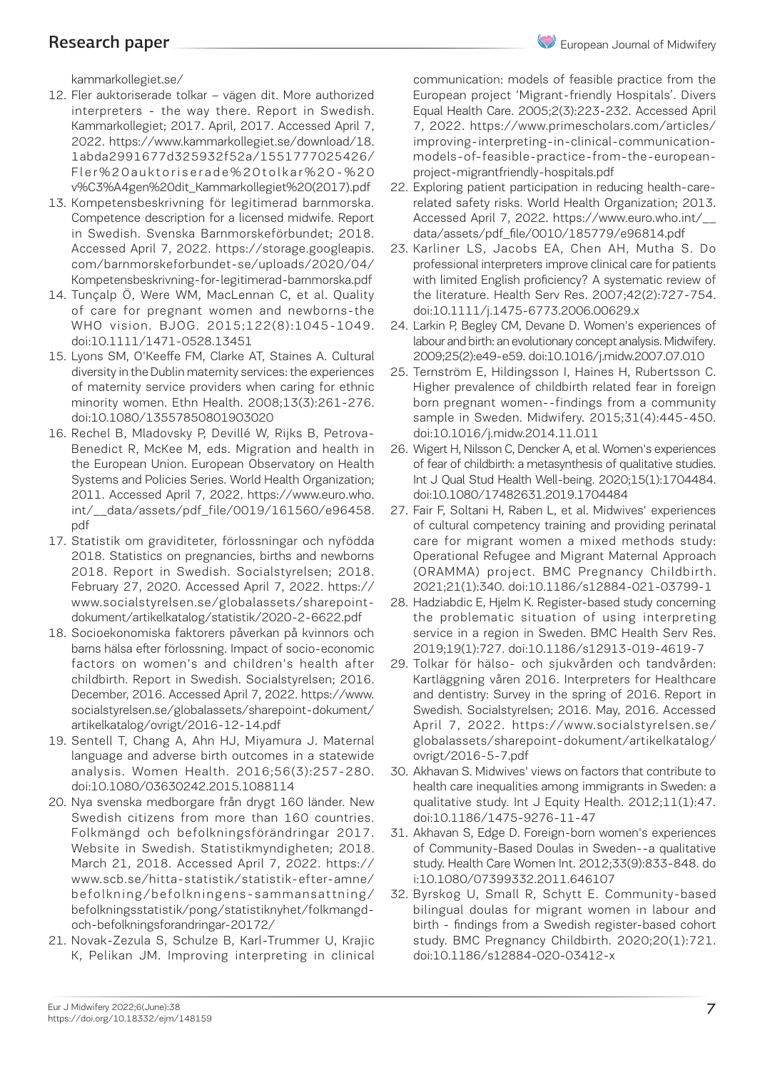kammarkollegiet.se/

- 12. Fler auktoriserade tolkar vägen dit. More authorized interpreters - the way there. Report in Swedish. Kammarkollegiet; 2017. April, 2017. Accessed April 7, 2022. https://www.kammarkollegiet.se/download/18. 1abda2991677d325932f52a/1551777025426/ Fler%20auktoriserade%20tolkar%20-%20 v%C3%A4gen%20dit\_Kammarkollegiet%20(2017).pdf
- 13. Kompetensbeskrivning för legitimerad barnmorska. Competence description for a licensed midwife. Report in Swedish. Svenska Barnmorskeförbundet; 2018. Accessed April 7, 2022. https://storage.googleapis. com/barnmorskeforbundet-se/uploads/2020/04/ Kompetensbeskrivning-for-legitimerad-barnmorska.pdf
- 14. Tunçalp Ö, Were WM, MacLennan C, et al. Quality of care for pregnant women and newborns-the WHO vision. BJOG. 2015;122(8):1045-1049. doi:10.1111/1471-0528.13451
- 15. Lyons SM, O'Keeffe FM, Clarke AT, Staines A. Cultural diversity in the Dublin maternity services: the experiences of maternity service providers when caring for ethnic minority women. Ethn Health. 2008;13(3):261-276. doi:10.1080/13557850801903020
- 16. Rechel B, Mladovsky P, Devillé W, Rijks B, Petrova-Benedict R, McKee M, eds. Migration and health in the European Union. European Observatory on Health Systems and Policies Series. World Health Organization; 2011. Accessed April 7, 2022. https://www.euro.who. int/\_\_data/assets/pdf\_file/0019/161560/e96458. pdf
- 17. Statistik om graviditeter, förlossningar och nyfödda 2018. Statistics on pregnancies, births and newborns 2018. Report in Swedish. Socialstyrelsen; 2018. February 27, 2020. Accessed April 7, 2022. https:// www.socialstyrelsen.se/globalassets/sharepointdokument/artikelkatalog/statistik/2020-2-6622.pdf
- 18. Socioekonomiska faktorers påverkan på kvinnors och barns hälsa efter förlossning. Impact of socio-economic factors on women's and children's health after childbirth. Report in Swedish. Socialstyrelsen; 2016. December, 2016. Accessed April 7, 2022. https://www. socialstyrelsen.se/globalassets/sharepoint-dokument/ artikelkatalog/ovrigt/2016-12-14.pdf
- 19. Sentell T, Chang A, Ahn HJ, Miyamura J. Maternal language and adverse birth outcomes in a statewide analysis. Women Health. 2016;56(3):257-280. doi:10.1080/03630242.2015.1088114
- 20. Nya svenska medborgare från drygt 160 länder. New Swedish citizens from more than 160 countries. Folkmängd och befolkningsförändringar 2017. Website in Swedish. Statistikmyndigheten; 2018. March 21, 2018. Accessed April 7, 2022. https:// www.scb.se/hitta-statistik/statistik-efter-amne/ befolkning/befolkningens-sammansattning/ befolkningsstatistik/pong/statistiknyhet/folkmangdoch-befolkningsforandringar-20172/
- 21. Novak-Zezula S, Schulze B, Karl-Trummer U, Krajic K, Pelikan JM. Improving interpreting in clinical

communication: models of feasible practice from the European project 'Migrant-friendly Hospitals'. Divers Equal Health Care. 2005;2(3):223-232. Accessed April 7, 2022. https://www.primescholars.com/articles/ improving-interpreting-in-clinical-communicationmodels-of-feasible-practice-from-the-europeanproject-migrantfriendly-hospitals.pdf

- 22. Exploring patient participation in reducing health-carerelated safety risks. World Health Organization; 2013. Accessed April 7, 2022. https://www.euro.who.int/\_\_ data/assets/pdf\_file/0010/185779/e96814.pdf
- 23. Karliner LS, Jacobs EA, Chen AH, Mutha S. Do professional interpreters improve clinical care for patients with limited English proficiency? A systematic review of the literature. Health Serv Res. 2007;42(2):727-754. doi:10.1111/j.1475-6773.2006.00629.x
- 24. Larkin P, Begley CM, Devane D. Women's experiences of labour and birth: an evolutionary concept analysis. Midwifery. 2009;25(2):e49-e59. doi:10.1016/j.midw.2007.07.010
- 25. Ternström E, Hildingsson I, Haines H, Rubertsson C. Higher prevalence of childbirth related fear in foreign born pregnant women--findings from a community sample in Sweden. Midwifery. 2015;31(4):445-450. doi:10.1016/j.midw.2014.11.011
- 26. Wigert H, Nilsson C, Dencker A, et al. Women's experiences of fear of childbirth: a metasynthesis of qualitative studies. Int J Qual Stud Health Well-being. 2020;15(1):1704484. doi:10.1080/17482631.2019.1704484
- 27. Fair F, Soltani H, Raben L, et al. Midwives' experiences of cultural competency training and providing perinatal care for migrant women a mixed methods study: Operational Refugee and Migrant Maternal Approach (ORAMMA) project. BMC Pregnancy Childbirth. 2021;21(1):340. doi:10.1186/s12884-021-03799-1
- 28. Hadziabdic E, Hjelm K. Register-based study concerning the problematic situation of using interpreting service in a region in Sweden. BMC Health Serv Res. 2019;19(1):727. doi:10.1186/s12913-019-4619-7
- 29. Tolkar för hälso- och sjukvården och tandvården: Kartläggning våren 2016. Interpreters for Healthcare and dentistry: Survey in the spring of 2016. Report in Swedish. Socialstyrelsen; 2016. May, 2016. Accessed April 7, 2022. https://www.socialstyrelsen.se/ globalassets/sharepoint-dokument/artikelkatalog/ ovrigt/2016-5-7.pdf
- 30. Akhavan S. Midwives' views on factors that contribute to health care inequalities among immigrants in Sweden: a qualitative study. Int J Equity Health. 2012;11(1):47. doi:10.1186/1475-9276-11-47
- 31. Akhavan S, Edge D. Foreign-born women's experiences of Community-Based Doulas in Sweden--a qualitative study. Health Care Women Int. 2012;33(9):833-848. do i:10.1080/07399332.2011.646107
- 32. Byrskog U, Small R, Schytt E. Community-based bilingual doulas for migrant women in labour and birth - findings from a Swedish register-based cohort study. BMC Pregnancy Childbirth. 2020;20(1):721. doi:10.1186/s12884-020-03412-x